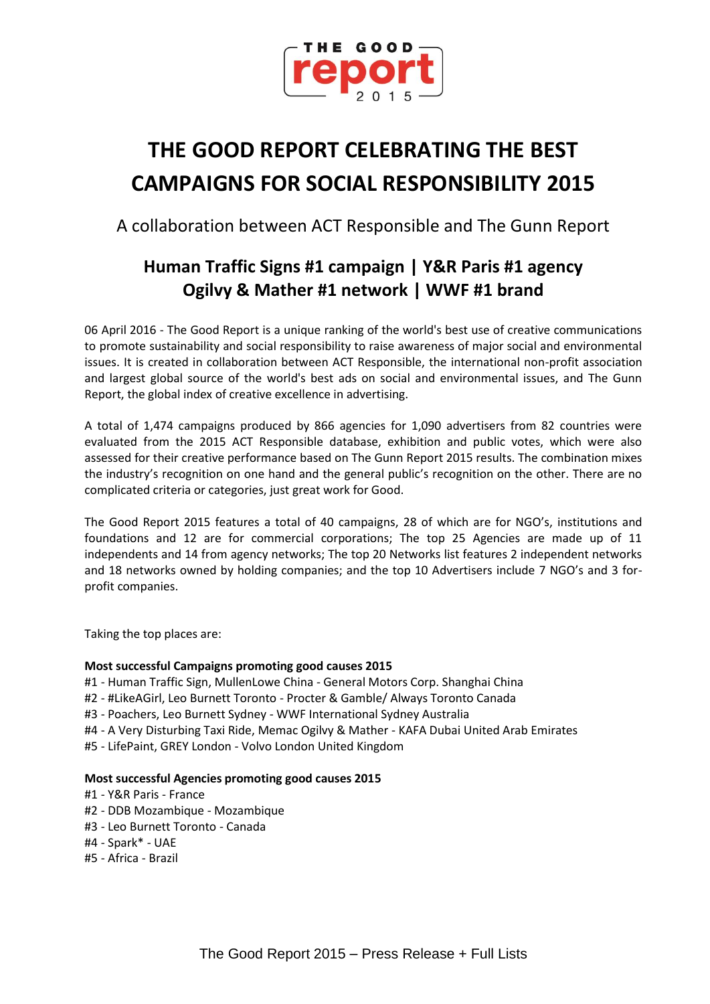

# **THE GOOD REPORT CELEBRATING THE BEST CAMPAIGNS FOR SOCIAL RESPONSIBILITY 2015**

A collaboration between ACT Responsible and The Gunn Report

## **Human Traffic Signs #1 campaign | Y&R Paris #1 agency Ogilvy & Mather #1 network | WWF #1 brand**

06 April 2016 - The Good Report is a unique ranking of the world's best use of creative communications to promote sustainability and social responsibility to raise awareness of major social and environmental issues. It is created in collaboration between ACT Responsible, the international non-profit association and largest global source of the world's best ads on social and environmental issues, and The Gunn Report, the global index of creative excellence in advertising.

A total of 1,474 campaigns produced by 866 agencies for 1,090 advertisers from 82 countries were evaluated from the 2015 ACT Responsible database, exhibition and public votes, which were also assessed for their creative performance based on The Gunn Report 2015 results. The combination mixes the industry's recognition on one hand and the general public's recognition on the other. There are no complicated criteria or categories, just great work for Good.

The Good Report 2015 features a total of 40 campaigns, 28 of which are for NGO's, institutions and foundations and 12 are for commercial corporations; The top 25 Agencies are made up of 11 independents and 14 from agency networks; The top 20 Networks list features 2 independent networks and 18 networks owned by holding companies; and the top 10 Advertisers include 7 NGO's and 3 forprofit companies.

Taking the top places are:

### **Most successful Campaigns promoting good causes 2015**

- #1 Human Traffic Sign, MullenLowe China General Motors Corp. Shanghai China
- #2 #LikeAGirl, Leo Burnett Toronto Procter & Gamble/ Always Toronto Canada
- #3 Poachers, Leo Burnett Sydney WWF International Sydney Australia
- #4 A Very Disturbing Taxi Ride, Memac Ogilvy & Mather KAFA Dubai United Arab Emirates
- #5 LifePaint, GREY London Volvo London United Kingdom

#### **Most successful Agencies promoting good causes 2015**

- #1 Y&R Paris France
- #2 DDB Mozambique Mozambique
- #3 Leo Burnett Toronto Canada
- #4 Spark\* UAE
- #5 Africa Brazil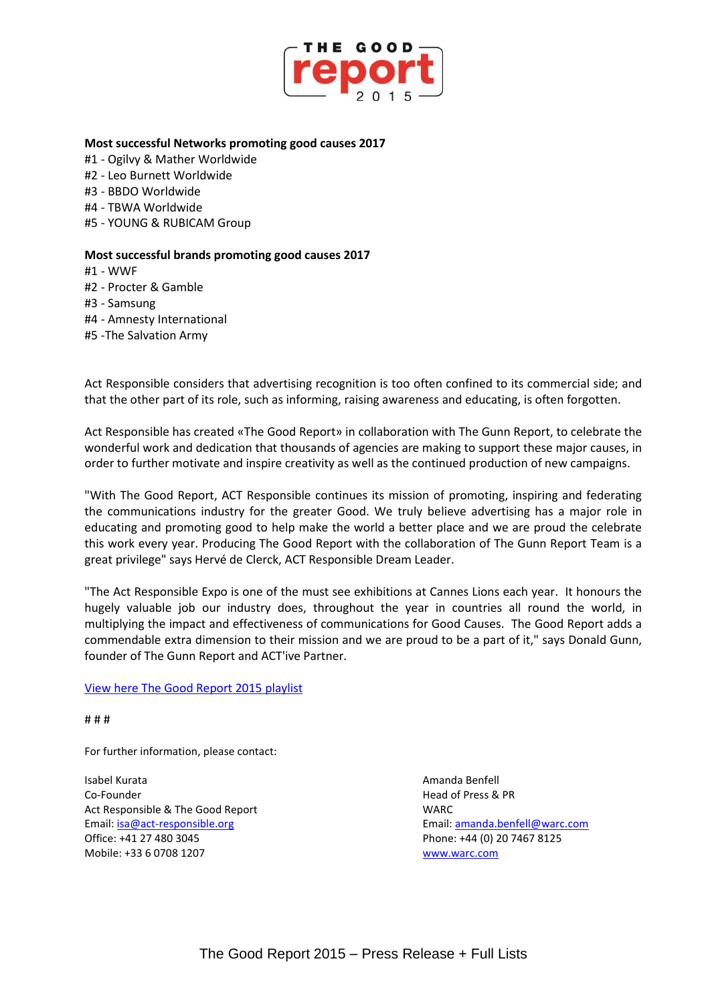

#### **Most successful Networks promoting good causes 2017**

- #1 Ogilvy & Mather Worldwide
- #2 Leo Burnett Worldwide
- #3 BBDO Worldwide
- #4 TBWA Worldwide
- #5 YOUNG & RUBICAM Group

#### **Most successful brands promoting good causes 2017**

#1 - WWF

#2 - Procter & Gamble

- #3 Samsung
- #4 Amnesty International
- #5 -The Salvation Army

Act Responsible considers that advertising recognition is too often confined to its commercial side; and that the other part of its role, such as informing, raising awareness and educating, is often forgotten.

Act Responsible has created «The Good Report» in collaboration with The Gunn Report, to celebrate the wonderful work and dedication that thousands of agencies are making to support these major causes, in order to further motivate and inspire creativity as well as the continued production of new campaigns.

"With The Good Report, ACT Responsible continues its mission of promoting, inspiring and federating the communications industry for the greater Good. We truly believe advertising has a major role in educating and promoting good to help make the world a better place and we are proud the celebrate this work every year. Producing The Good Report with the collaboration of The Gunn Report Team is a great privilege" says Hervé de Clerck, ACT Responsible Dream Leader.

"The Act Responsible Expo is one of the must see exhibitions at Cannes Lions each year. It honours the hugely valuable job our industry does, throughout the year in countries all round the world, in multiplying the impact and effectiveness of communications for Good Causes. The Good Report adds a commendable extra dimension to their mission and we are proud to be a part of it," says Donald Gunn, founder of The Gunn Report and ACT'ive Partner.

#### [View here The Good Report 2015](https://act.adforum.com/creative-work/playlist/10743/the-good-report-15) playlist

# # #

For further information, please contact:

Isabel Kurata Amanda Benfell Co-Founder Head of Press & PR Act Responsible & The Good Report New York WARC Email: [isa@act-responsible.org](mailto:isa@act-responsible.org) Email[: amanda.benfell@warc.com](mailto:amanda.benfell@warc.com) Office: +41 27 480 3045 Phone: +44 (0) 20 7467 8125 Mobile: +33 6 0708 1207 [www.warc.com](http://www.warc.com/)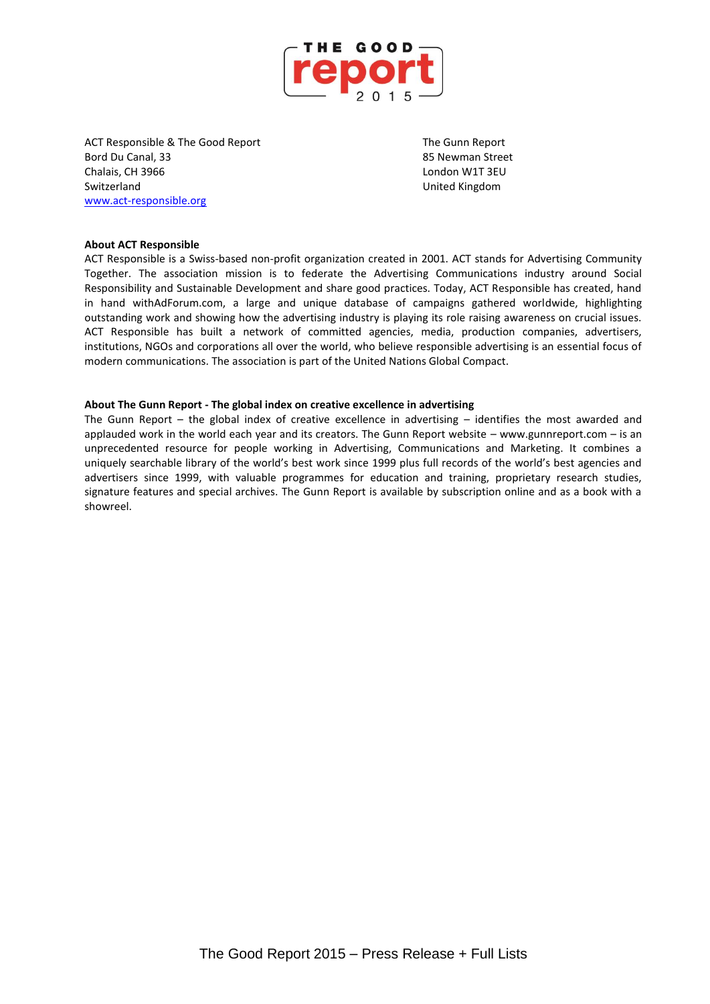

ACT Responsible & The Good Report The Gunn Report The Gunn Report Bord Du Canal, 33 **Bord Du Canal, 33** 85 Newman Street Chalais, CH 3966 London W1T 3EU Switzerland United Kingdom [www.act-responsible.org](http://www.act-responsible.org/)

#### **About ACT Responsible**

ACT Responsible is a Swiss-based non-profit organization created in 2001. ACT stands for Advertising Community Together. The association mission is to federate the Advertising Communications industry around Social Responsibility and Sustainable Development and share good practices. Today, ACT Responsible has created, hand in hand withAdForum.com, a large and unique database of campaigns gathered worldwide, highlighting outstanding work and showing how the advertising industry is playing its role raising awareness on crucial issues. ACT Responsible has built a network of committed agencies, media, production companies, advertisers, institutions, NGOs and corporations all over the world, who believe responsible advertising is an essential focus of modern communications. The association is part of the United Nations Global Compact.

#### **About The Gunn Report - The global index on creative excellence in advertising**

The Gunn Report – the global index of creative excellence in advertising – identifies the most awarded and applauded work in the world each year and its creators. The Gunn Report website – www.gunnreport.com – is an unprecedented resource for people working in Advertising, Communications and Marketing. It combines a uniquely searchable library of the world's best work since 1999 plus full records of the world's best agencies and advertisers since 1999, with valuable programmes for education and training, proprietary research studies, signature features and special archives. The Gunn Report is available by subscription online and as a book with a showreel.